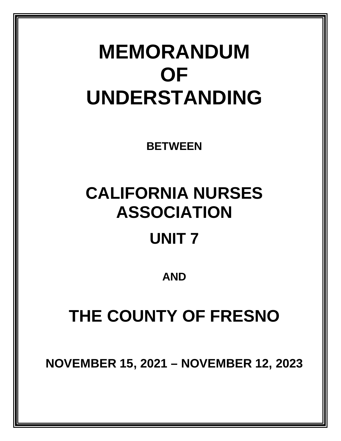# **MEMORANDUM OF UNDERSTANDING**

**BETWEEN**

# **CALIFORNIA NURSES ASSOCIATION**

## **UNIT 7**

**AND**

## **THE COUNTY OF FRESNO**

**NOVEMBER 15, 2021 – NOVEMBER 12, 2023**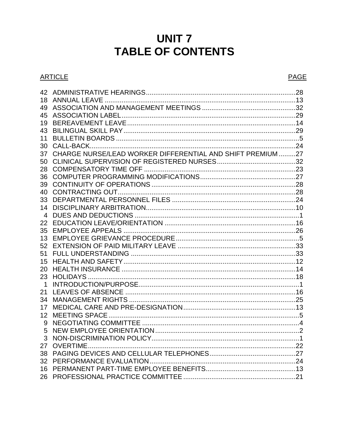### **UNIT 7 TABLE OF CONTENTS**

#### **ARTICLE**

| 42          |                                                            |  |
|-------------|------------------------------------------------------------|--|
| 18          |                                                            |  |
| 49          |                                                            |  |
| 45          |                                                            |  |
| 19          |                                                            |  |
| 43          |                                                            |  |
| 11          |                                                            |  |
| 30          |                                                            |  |
| 37          | CHARGE NURSE/LEAD WORKER DIFFERENTIAL AND SHIFT PREMIUM 27 |  |
| 50          |                                                            |  |
| 28          |                                                            |  |
| 36          |                                                            |  |
| 39          |                                                            |  |
| 40          |                                                            |  |
| 33          |                                                            |  |
| 14          |                                                            |  |
| 4           |                                                            |  |
| 22          |                                                            |  |
| 35          |                                                            |  |
| 13          |                                                            |  |
| 52          |                                                            |  |
| 51          |                                                            |  |
| 15          |                                                            |  |
| 20          |                                                            |  |
| 23          |                                                            |  |
| $\mathbf 1$ |                                                            |  |
| 21          |                                                            |  |
| 34          |                                                            |  |
| 17          |                                                            |  |
| 12          |                                                            |  |
| 9           |                                                            |  |
| 5           |                                                            |  |
|             |                                                            |  |
|             |                                                            |  |
|             |                                                            |  |
|             |                                                            |  |
|             |                                                            |  |
|             |                                                            |  |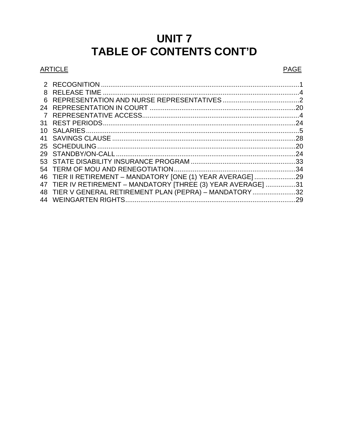### **UNIT 7** TABLE OF CONTENTS CONT'D

#### **ARTICLE**

#### **PAGE**

| 8   |                                                               |     |
|-----|---------------------------------------------------------------|-----|
| 6   |                                                               |     |
|     |                                                               |     |
| 7   |                                                               |     |
| 31  |                                                               |     |
| 10. |                                                               |     |
| 41  |                                                               |     |
|     |                                                               |     |
|     |                                                               | .24 |
|     |                                                               |     |
|     |                                                               |     |
|     | 46 TIER II RETIREMENT - MANDATORY [ONE (1) YEAR AVERAGE]29    |     |
|     | 47 TIER IV RETIREMENT - MANDATORY [THREE (3) YEAR AVERAGE] 31 |     |
|     | 48 TIER V GENERAL RETIREMENT PLAN (PEPRA) - MANDATORY 32      |     |
|     |                                                               |     |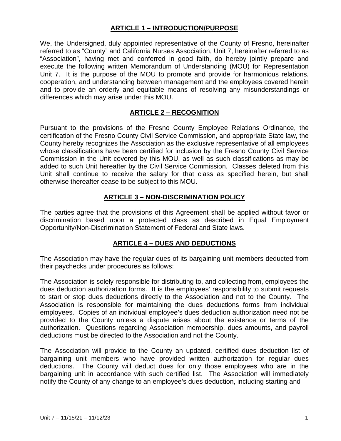#### **ARTICLE 1 – INTRODUCTION/PURPOSE**

We, the Undersigned, duly appointed representative of the County of Fresno, hereinafter referred to as "County" and California Nurses Association, Unit 7, hereinafter referred to as "Association", having met and conferred in good faith, do hereby jointly prepare and execute the following written Memorandum of Understanding (MOU) for Representation Unit 7. It is the purpose of the MOU to promote and provide for harmonious relations, cooperation, and understanding between management and the employees covered herein and to provide an orderly and equitable means of resolving any misunderstandings or differences which may arise under this MOU.

#### **ARTICLE 2 – RECOGNITION**

Pursuant to the provisions of the Fresno County Employee Relations Ordinance, the certification of the Fresno County Civil Service Commission, and appropriate State law, the County hereby recognizes the Association as the exclusive representative of all employees whose classifications have been certified for inclusion by the Fresno County Civil Service Commission in the Unit covered by this MOU, as well as such classifications as may be added to such Unit hereafter by the Civil Service Commission. Classes deleted from this Unit shall continue to receive the salary for that class as specified herein, but shall otherwise thereafter cease to be subject to this MOU.

#### **ARTICLE 3 – NON-DISCRIMINATION POLICY**

The parties agree that the provisions of this Agreement shall be applied without favor or discrimination based upon a protected class as described in Equal Employment Opportunity/Non-Discrimination Statement of Federal and State laws.

#### **ARTICLE 4 – DUES AND DEDUCTIONS**

The Association may have the regular dues of its bargaining unit members deducted from their paychecks under procedures as follows:

The Association is solely responsible for distributing to, and collecting from, employees the dues deduction authorization forms. It is the employees' responsibility to submit requests to start or stop dues deductions directly to the Association and not to the County. The Association is responsible for maintaining the dues deductions forms from individual employees. Copies of an individual employee's dues deduction authorization need not be provided to the County unless a dispute arises about the existence or terms of the authorization. Questions regarding Association membership, dues amounts, and payroll deductions must be directed to the Association and not the County.

The Association will provide to the County an updated, certified dues deduction list of bargaining unit members who have provided written authorization for regular dues deductions. The County will deduct dues for only those employees who are in the bargaining unit in accordance with such certified list. The Association will immediately notify the County of any change to an employee's dues deduction, including starting and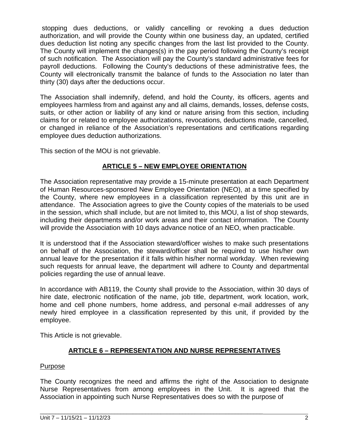stopping dues deductions, or validly cancelling or revoking a dues deduction authorization, and will provide the County within one business day, an updated, certified dues deduction list noting any specific changes from the last list provided to the County. The County will implement the changes(s) in the pay period following the County's receipt of such notification. The Association will pay the County's standard administrative fees for payroll deductions. Following the County's deductions of these administrative fees, the County will electronically transmit the balance of funds to the Association no later than thirty (30) days after the deductions occur.

The Association shall indemnify, defend, and hold the County, its officers, agents and employees harmless from and against any and all claims, demands, losses, defense costs, suits, or other action or liability of any kind or nature arising from this section, including claims for or related to employee authorizations, revocations, deductions made, cancelled, or changed in reliance of the Association's representations and certifications regarding employee dues deduction authorizations.

This section of the MOU is not grievable.

#### **ARTICLE 5 – NEW EMPLOYEE ORIENTATION**

The Association representative may provide a 15-minute presentation at each Department of Human Resources-sponsored New Employee Orientation (NEO), at a time specified by the County, where new employees in a classification represented by this unit are in attendance. The Association agrees to give the County copies of the materials to be used in the session, which shall include, but are not limited to, this MOU, a list of shop stewards, including their departments and/or work areas and their contact information. The County will provide the Association with 10 days advance notice of an NEO, when practicable.

It is understood that if the Association steward/officer wishes to make such presentations on behalf of the Association, the steward/officer shall be required to use his/her own annual leave for the presentation if it falls within his/her normal workday. When reviewing such requests for annual leave, the department will adhere to County and departmental policies regarding the use of annual leave.

In accordance with AB119, the County shall provide to the Association, within 30 days of hire date, electronic notification of the name, job title, department, work location, work, home and cell phone numbers, home address, and personal e-mail addresses of any newly hired employee in a classification represented by this unit, if provided by the employee.

This Article is not grievable.

#### **ARTICLE 6 – REPRESENTATION AND NURSE REPRESENTATIVES**

#### Purpose

The County recognizes the need and affirms the right of the Association to designate Nurse Representatives from among employees in the Unit. It is agreed that the Association in appointing such Nurse Representatives does so with the purpose of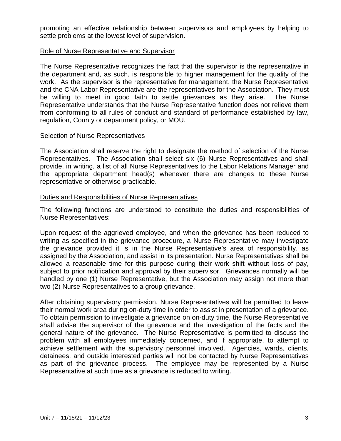promoting an effective relationship between supervisors and employees by helping to settle problems at the lowest level of supervision.

#### Role of Nurse Representative and Supervisor

The Nurse Representative recognizes the fact that the supervisor is the representative in the department and, as such, is responsible to higher management for the quality of the work. As the supervisor is the representative for management, the Nurse Representative and the CNA Labor Representative are the representatives for the Association. They must be willing to meet in good faith to settle grievances as they arise. The Nurse Representative understands that the Nurse Representative function does not relieve them from conforming to all rules of conduct and standard of performance established by law, regulation, County or department policy, or MOU.

#### Selection of Nurse Representatives

The Association shall reserve the right to designate the method of selection of the Nurse Representatives. The Association shall select six (6) Nurse Representatives and shall provide, in writing, a list of all Nurse Representatives to the Labor Relations Manager and the appropriate department head(s) whenever there are changes to these Nurse representative or otherwise practicable.

#### Duties and Responsibilities of Nurse Representatives

The following functions are understood to constitute the duties and responsibilities of Nurse Representatives:

Upon request of the aggrieved employee, and when the grievance has been reduced to writing as specified in the grievance procedure, a Nurse Representative may investigate the grievance provided it is in the Nurse Representative's area of responsibility, as assigned by the Association, and assist in its presentation. Nurse Representatives shall be allowed a reasonable time for this purpose during their work shift without loss of pay, subject to prior notification and approval by their supervisor. Grievances normally will be handled by one (1) Nurse Representative, but the Association may assign not more than two (2) Nurse Representatives to a group grievance.

After obtaining supervisory permission, Nurse Representatives will be permitted to leave their normal work area during on-duty time in order to assist in presentation of a grievance. To obtain permission to investigate a grievance on on-duty time, the Nurse Representative shall advise the supervisor of the grievance and the investigation of the facts and the general nature of the grievance. The Nurse Representative is permitted to discuss the problem with all employees immediately concerned, and if appropriate, to attempt to achieve settlement with the supervisory personnel involved. Agencies, wards, clients, detainees, and outside interested parties will not be contacted by Nurse Representatives as part of the grievance process. The employee may be represented by a Nurse Representative at such time as a grievance is reduced to writing.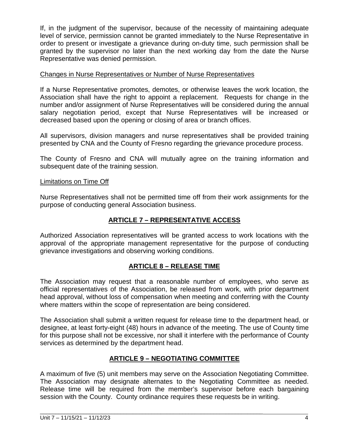If, in the judgment of the supervisor, because of the necessity of maintaining adequate level of service, permission cannot be granted immediately to the Nurse Representative in order to present or investigate a grievance during on-duty time, such permission shall be granted by the supervisor no later than the next working day from the date the Nurse Representative was denied permission.

#### Changes in Nurse Representatives or Number of Nurse Representatives

If a Nurse Representative promotes, demotes, or otherwise leaves the work location, the Association shall have the right to appoint a replacement. Requests for change in the number and/or assignment of Nurse Representatives will be considered during the annual salary negotiation period, except that Nurse Representatives will be increased or decreased based upon the opening or closing of area or branch offices.

All supervisors, division managers and nurse representatives shall be provided training presented by CNA and the County of Fresno regarding the grievance procedure process.

The County of Fresno and CNA will mutually agree on the training information and subsequent date of the training session.

#### Limitations on Time Off

Nurse Representatives shall not be permitted time off from their work assignments for the purpose of conducting general Association business.

#### **ARTICLE 7 – REPRESENTATIVE ACCESS**

Authorized Association representatives will be granted access to work locations with the approval of the appropriate management representative for the purpose of conducting grievance investigations and observing working conditions.

#### **ARTICLE 8 – RELEASE TIME**

The Association may request that a reasonable number of employees, who serve as official representatives of the Association, be released from work, with prior department head approval, without loss of compensation when meeting and conferring with the County where matters within the scope of representation are being considered.

The Association shall submit a written request for release time to the department head, or designee, at least forty-eight (48) hours in advance of the meeting. The use of County time for this purpose shall not be excessive, nor shall it interfere with the performance of County services as determined by the department head.

#### **ARTICLE 9 – NEGOTIATING COMMITTEE**

A maximum of five (5) unit members may serve on the Association Negotiating Committee. The Association may designate alternates to the Negotiating Committee as needed. Release time will be required from the member's supervisor before each bargaining session with the County. County ordinance requires these requests be in writing.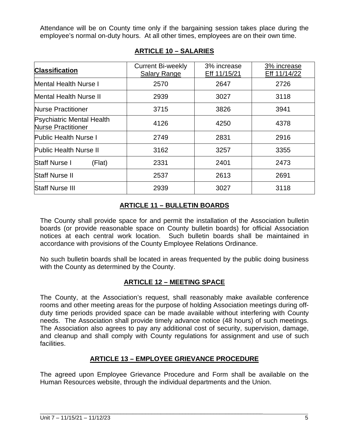Attendance will be on County time only if the bargaining session takes place during the employee's normal on-duty hours. At all other times, employees are on their own time.

| <b>Classification</b>                                         | <b>Current Bi-weekly</b><br>Salary Range | 3% increase<br>Eff 11/15/21 | 3% increase<br>Eff 11/14/22 |
|---------------------------------------------------------------|------------------------------------------|-----------------------------|-----------------------------|
| <b>Mental Health Nurse I</b>                                  | 2570                                     | 2647                        | 2726                        |
| <b>Mental Health Nurse II</b>                                 | 2939                                     | 3027                        | 3118                        |
| <b>Nurse Practitioner</b>                                     | 3715                                     | 3826                        | 3941                        |
| <b>Psychiatric Mental Health</b><br><b>Nurse Practitioner</b> | 4126                                     | 4250                        | 4378                        |
| <b>Public Health Nurse I</b>                                  | 2749                                     | 2831                        | 2916                        |
| <b>Public Health Nurse II</b>                                 | 3162                                     | 3257                        | 3355                        |
| <b>Staff Nurse I</b><br>(Flat)                                | 2331                                     | 2401                        | 2473                        |
| <b>Staff Nurse II</b>                                         | 2537                                     | 2613                        | 2691                        |
| <b>Staff Nurse III</b>                                        | 2939                                     | 3027                        | 3118                        |

#### **ARTICLE 10 – SALARIES**

#### **ARTICLE 11 – BULLETIN BOARDS**

The County shall provide space for and permit the installation of the Association bulletin boards (or provide reasonable space on County bulletin boards) for official Association notices at each central work location. Such bulletin boards shall be maintained in accordance with provisions of the County Employee Relations Ordinance.

No such bulletin boards shall be located in areas frequented by the public doing business with the County as determined by the County.

#### **ARTICLE 12 – MEETING SPACE**

The County, at the Association's request, shall reasonably make available conference rooms and other meeting areas for the purpose of holding Association meetings during offduty time periods provided space can be made available without interfering with County needs. The Association shall provide timely advance notice (48 hours) of such meetings. The Association also agrees to pay any additional cost of security, supervision, damage, and cleanup and shall comply with County regulations for assignment and use of such facilities.

#### **ARTICLE 13 – EMPLOYEE GRIEVANCE PROCEDURE**

The agreed upon Employee Grievance Procedure and Form shall be available on the Human Resources website, through the individual departments and the Union.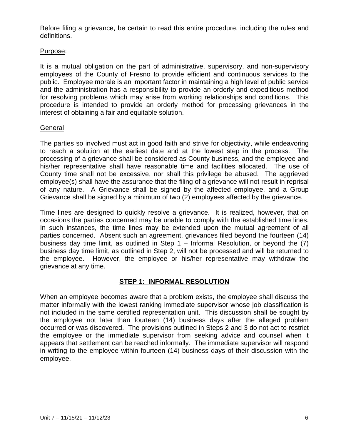Before filing a grievance, be certain to read this entire procedure, including the rules and definitions.

#### Purpose:

It is a mutual obligation on the part of administrative, supervisory, and non-supervisory employees of the County of Fresno to provide efficient and continuous services to the public. Employee morale is an important factor in maintaining a high level of public service and the administration has a responsibility to provide an orderly and expeditious method for resolving problems which may arise from working relationships and conditions. This procedure is intended to provide an orderly method for processing grievances in the interest of obtaining a fair and equitable solution.

#### **General**

The parties so involved must act in good faith and strive for objectivity, while endeavoring to reach a solution at the earliest date and at the lowest step in the process. The processing of a grievance shall be considered as County business, and the employee and his/her representative shall have reasonable time and facilities allocated. The use of County time shall not be excessive, nor shall this privilege be abused. The aggrieved employee(s) shall have the assurance that the filing of a grievance will not result in reprisal of any nature. A Grievance shall be signed by the affected employee, and a Group Grievance shall be signed by a minimum of two (2) employees affected by the grievance.

Time lines are designed to quickly resolve a grievance. It is realized, however, that on occasions the parties concerned may be unable to comply with the established time lines. In such instances, the time lines may be extended upon the mutual agreement of all parties concerned. Absent such an agreement, grievances filed beyond the fourteen (14) business day time limit, as outlined in Step  $1 -$  Informal Resolution, or beyond the (7) business day time limit, as outlined in Step 2, will not be processed and will be returned to the employee. However, the employee or his/her representative may withdraw the grievance at any time.

#### **STEP 1: INFORMAL RESOLUTION**

When an employee becomes aware that a problem exists, the employee shall discuss the matter informally with the lowest ranking immediate supervisor whose job classification is not included in the same certified representation unit. This discussion shall be sought by the employee not later than fourteen (14) business days after the alleged problem occurred or was discovered. The provisions outlined in Steps 2 and 3 do not act to restrict the employee or the immediate supervisor from seeking advice and counsel when it appears that settlement can be reached informally. The immediate supervisor will respond in writing to the employee within fourteen (14) business days of their discussion with the employee.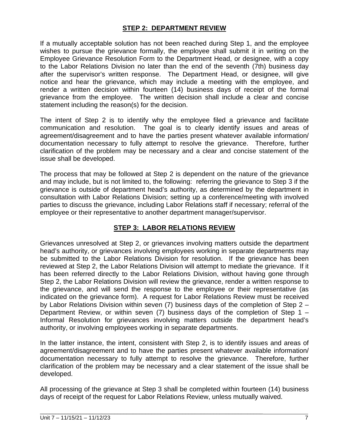#### **STEP 2: DEPARTMENT REVIEW**

If a mutually acceptable solution has not been reached during Step 1, and the employee wishes to pursue the grievance formally, the employee shall submit it in writing on the Employee Grievance Resolution Form to the Department Head, or designee, with a copy to the Labor Relations Division no later than the end of the seventh (7th) business day after the supervisor's written response. The Department Head, or designee, will give notice and hear the grievance, which may include a meeting with the employee, and render a written decision within fourteen (14) business days of receipt of the formal grievance from the employee. The written decision shall include a clear and concise statement including the reason(s) for the decision.

The intent of Step 2 is to identify why the employee filed a grievance and facilitate communication and resolution. The goal is to clearly identify issues and areas of agreement/disagreement and to have the parties present whatever available information/ documentation necessary to fully attempt to resolve the grievance. Therefore, further clarification of the problem may be necessary and a clear and concise statement of the issue shall be developed.

The process that may be followed at Step 2 is dependent on the nature of the grievance and may include, but is not limited to, the following: referring the grievance to Step 3 if the grievance is outside of department head's authority, as determined by the department in consultation with Labor Relations Division; setting up a conference/meeting with involved parties to discuss the grievance, including Labor Relations staff if necessary; referral of the employee or their representative to another department manager/supervisor.

#### **STEP 3: LABOR RELATIONS REVIEW**

Grievances unresolved at Step 2, or grievances involving matters outside the department head's authority, or grievances involving employees working in separate departments may be submitted to the Labor Relations Division for resolution. If the grievance has been reviewed at Step 2, the Labor Relations Division will attempt to mediate the grievance. If it has been referred directly to the Labor Relations Division, without having gone through Step 2, the Labor Relations Division will review the grievance, render a written response to the grievance, and will send the response to the employee or their representative (as indicated on the grievance form). A request for Labor Relations Review must be received by Labor Relations Division within seven (7) business days of the completion of Step 2 – Department Review, or within seven (7) business days of the completion of Step 1 – Informal Resolution for grievances involving matters outside the department head's authority, or involving employees working in separate departments.

In the latter instance, the intent, consistent with Step 2, is to identify issues and areas of agreement/disagreement and to have the parties present whatever available information/ documentation necessary to fully attempt to resolve the grievance. Therefore, further clarification of the problem may be necessary and a clear statement of the issue shall be developed.

All processing of the grievance at Step 3 shall be completed within fourteen (14) business days of receipt of the request for Labor Relations Review, unless mutually waived.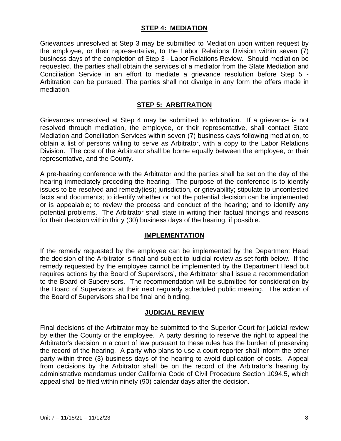#### **STEP 4: MEDIATION**

Grievances unresolved at Step 3 may be submitted to Mediation upon written request by the employee, or their representative, to the Labor Relations Division within seven (7) business days of the completion of Step 3 - Labor Relations Review. Should mediation be requested, the parties shall obtain the services of a mediator from the State Mediation and Conciliation Service in an effort to mediate a grievance resolution before Step 5 - Arbitration can be pursued. The parties shall not divulge in any form the offers made in mediation.

#### **STEP 5: ARBITRATION**

Grievances unresolved at Step 4 may be submitted to arbitration. If a grievance is not resolved through mediation, the employee, or their representative, shall contact State Mediation and Conciliation Services within seven (7) business days following mediation, to obtain a list of persons willing to serve as Arbitrator, with a copy to the Labor Relations Division. The cost of the Arbitrator shall be borne equally between the employee, or their representative, and the County.

A pre-hearing conference with the Arbitrator and the parties shall be set on the day of the hearing immediately preceding the hearing. The purpose of the conference is to identify issues to be resolved and remedy(ies); jurisdiction, or grievability; stipulate to uncontested facts and documents; to identify whether or not the potential decision can be implemented or is appealable; to review the process and conduct of the hearing; and to identify any potential problems. The Arbitrator shall state in writing their factual findings and reasons for their decision within thirty (30) business days of the hearing, if possible.

#### **IMPLEMENTATION**

If the remedy requested by the employee can be implemented by the Department Head the decision of the Arbitrator is final and subject to judicial review as set forth below. If the remedy requested by the employee cannot be implemented by the Department Head but requires actions by the Board of Supervisors', the Arbitrator shall issue a recommendation to the Board of Supervisors. The recommendation will be submitted for consideration by the Board of Supervisors at their next regularly scheduled public meeting. The action of the Board of Supervisors shall be final and binding.

#### **JUDICIAL REVIEW**

Final decisions of the Arbitrator may be submitted to the Superior Court for judicial review by either the County or the employee. A party desiring to reserve the right to appeal the Arbitrator's decision in a court of law pursuant to these rules has the burden of preserving the record of the hearing. A party who plans to use a court reporter shall inform the other party within three (3) business days of the hearing to avoid duplication of costs. Appeal from decisions by the Arbitrator shall be on the record of the Arbitrator's hearing by administrative mandamus under California Code of Civil Procedure Section 1094.5, which appeal shall be filed within ninety (90) calendar days after the decision.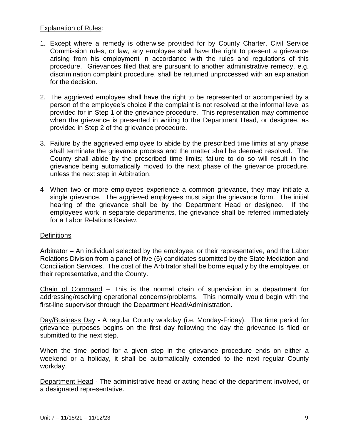#### Explanation of Rules:

- 1. Except where a remedy is otherwise provided for by County Charter, Civil Service Commission rules, or law, any employee shall have the right to present a grievance arising from his employment in accordance with the rules and regulations of this procedure. Grievances filed that are pursuant to another administrative remedy, e.g. discrimination complaint procedure, shall be returned unprocessed with an explanation for the decision.
- 2. The aggrieved employee shall have the right to be represented or accompanied by a person of the employee's choice if the complaint is not resolved at the informal level as provided for in Step 1 of the grievance procedure. This representation may commence when the grievance is presented in writing to the Department Head, or designee, as provided in Step 2 of the grievance procedure.
- 3. Failure by the aggrieved employee to abide by the prescribed time limits at any phase shall terminate the grievance process and the matter shall be deemed resolved. The County shall abide by the prescribed time limits; failure to do so will result in the grievance being automatically moved to the next phase of the grievance procedure, unless the next step in Arbitration.
- 4 When two or more employees experience a common grievance, they may initiate a single grievance. The aggrieved employees must sign the grievance form. The initial hearing of the grievance shall be by the Department Head or designee. If the employees work in separate departments, the grievance shall be referred immediately for a Labor Relations Review.

#### **Definitions**

Arbitrator – An individual selected by the employee, or their representative, and the Labor Relations Division from a panel of five (5) candidates submitted by the State Mediation and Conciliation Services. The cost of the Arbitrator shall be borne equally by the employee, or their representative, and the County.

Chain of Command – This is the normal chain of supervision in a department for addressing/resolving operational concerns/problems. This normally would begin with the first-line supervisor through the Department Head/Administration.

Day/Business Day - A regular County workday (i.e. Monday-Friday). The time period for grievance purposes begins on the first day following the day the grievance is filed or submitted to the next step.

When the time period for a given step in the grievance procedure ends on either a weekend or a holiday, it shall be automatically extended to the next regular County workday.

Department Head - The administrative head or acting head of the department involved, or a designated representative.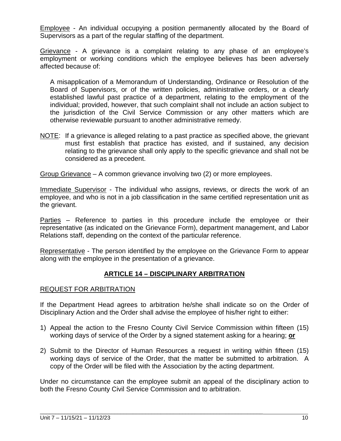Employee - An individual occupying a position permanently allocated by the Board of Supervisors as a part of the regular staffing of the department.

Grievance - A grievance is a complaint relating to any phase of an employee's employment or working conditions which the employee believes has been adversely affected because of:

A misapplication of a Memorandum of Understanding, Ordinance or Resolution of the Board of Supervisors, or of the written policies, administrative orders, or a clearly established lawful past practice of a department, relating to the employment of the individual; provided, however, that such complaint shall not include an action subject to the jurisdiction of the Civil Service Commission or any other matters which are otherwise reviewable pursuant to another administrative remedy.

NOTE: If a grievance is alleged relating to a past practice as specified above, the grievant must first establish that practice has existed, and if sustained, any decision relating to the grievance shall only apply to the specific grievance and shall not be considered as a precedent.

Group Grievance – A common grievance involving two (2) or more employees.

Immediate Supervisor - The individual who assigns, reviews, or directs the work of an employee, and who is not in a job classification in the same certified representation unit as the grievant.

Parties – Reference to parties in this procedure include the employee or their representative (as indicated on the Grievance Form), department management, and Labor Relations staff, depending on the context of the particular reference.

Representative - The person identified by the employee on the Grievance Form to appear along with the employee in the presentation of a grievance.

#### **ARTICLE 14 – DISCIPLINARY ARBITRATION**

#### REQUEST FOR ARBITRATION

If the Department Head agrees to arbitration he/she shall indicate so on the Order of Disciplinary Action and the Order shall advise the employee of his/her right to either:

- 1) Appeal the action to the Fresno County Civil Service Commission within fifteen (15) working days of service of the Order by a signed statement asking for a hearing; **or**
- 2) Submit to the Director of Human Resources a request in writing within fifteen (15) working days of service of the Order, that the matter be submitted to arbitration. A copy of the Order will be filed with the Association by the acting department.

Under no circumstance can the employee submit an appeal of the disciplinary action to both the Fresno County Civil Service Commission and to arbitration.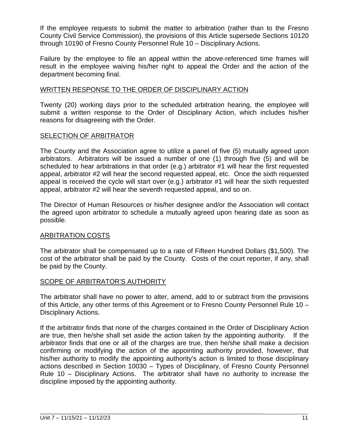If the employee requests to submit the matter to arbitration (rather than to the Fresno County Civil Service Commission), the provisions of this Article supersede Sections 10120 through 10190 of Fresno County Personnel Rule 10 – Disciplinary Actions.

Failure by the employee to file an appeal within the above-referenced time frames will result in the employee waiving his/her right to appeal the Order and the action of the department becoming final.

#### WRITTEN RESPONSE TO THE ORDER OF DISCIPLINARY ACTION

Twenty (20) working days prior to the scheduled arbitration hearing, the employee will submit a written response to the Order of Disciplinary Action, which includes his/her reasons for disagreeing with the Order.

#### SELECTION OF ARBITRATOR

The County and the Association agree to utilize a panel of five (5) mutually agreed upon arbitrators. Arbitrators will be issued a number of one (1) through five (5) and will be scheduled to hear arbitrations in that order (e.g.) arbitrator #1 will hear the first requested appeal, arbitrator #2 will hear the second requested appeal, etc. Once the sixth requested appeal is received the cycle will start over (e.g.) arbitrator #1 will hear the sixth requested appeal, arbitrator #2 will hear the seventh requested appeal, and so on.

The Director of Human Resources or his/her designee and/or the Association will contact the agreed upon arbitrator to schedule a mutually agreed upon hearing date as soon as possible.

#### ARBITRATION COSTS

The arbitrator shall be compensated up to a rate of Fifteen Hundred Dollars (\$1,500). The cost of the arbitrator shall be paid by the County. Costs of the court reporter, if any, shall be paid by the County.

#### SCOPE OF ARBITRATOR'S AUTHORITY

The arbitrator shall have no power to alter, amend, add to or subtract from the provisions of this Article, any other terms of this Agreement or to Fresno County Personnel Rule 10 – Disciplinary Actions.

If the arbitrator finds that none of the charges contained in the Order of Disciplinary Action are true, then he/she shall set aside the action taken by the appointing authority. If the arbitrator finds that one or all of the charges are true, then he/she shall make a decision confirming or modifying the action of the appointing authority provided, however, that his/her authority to modify the appointing authority's action is limited to those disciplinary actions described in Section 10030 – Types of Disciplinary, of Fresno County Personnel Rule 10 – Disciplinary Actions. The arbitrator shall have no authority to increase the discipline imposed by the appointing authority.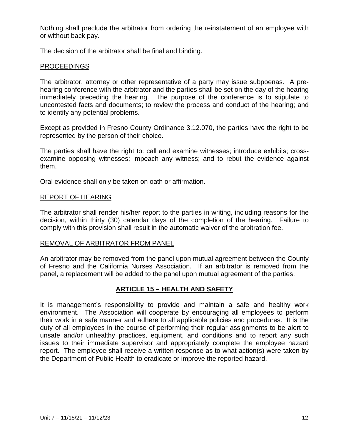Nothing shall preclude the arbitrator from ordering the reinstatement of an employee with or without back pay.

The decision of the arbitrator shall be final and binding.

#### PROCEEDINGS

The arbitrator, attorney or other representative of a party may issue subpoenas. A prehearing conference with the arbitrator and the parties shall be set on the day of the hearing immediately preceding the hearing. The purpose of the conference is to stipulate to uncontested facts and documents; to review the process and conduct of the hearing; and to identify any potential problems.

Except as provided in Fresno County Ordinance 3.12.070, the parties have the right to be represented by the person of their choice.

The parties shall have the right to: call and examine witnesses; introduce exhibits; crossexamine opposing witnesses; impeach any witness; and to rebut the evidence against them.

Oral evidence shall only be taken on oath or affirmation.

#### REPORT OF HEARING

The arbitrator shall render his/her report to the parties in writing, including reasons for the decision, within thirty (30) calendar days of the completion of the hearing. Failure to comply with this provision shall result in the automatic waiver of the arbitration fee.

#### REMOVAL OF ARBITRATOR FROM PANEL

An arbitrator may be removed from the panel upon mutual agreement between the County of Fresno and the California Nurses Association. If an arbitrator is removed from the panel, a replacement will be added to the panel upon mutual agreement of the parties.

#### **ARTICLE 15 – HEALTH AND SAFETY**

It is management's responsibility to provide and maintain a safe and healthy work environment. The Association will cooperate by encouraging all employees to perform their work in a safe manner and adhere to all applicable policies and procedures. It is the duty of all employees in the course of performing their regular assignments to be alert to unsafe and/or unhealthy practices, equipment, and conditions and to report any such issues to their immediate supervisor and appropriately complete the employee hazard report. The employee shall receive a written response as to what action(s) were taken by the Department of Public Health to eradicate or improve the reported hazard.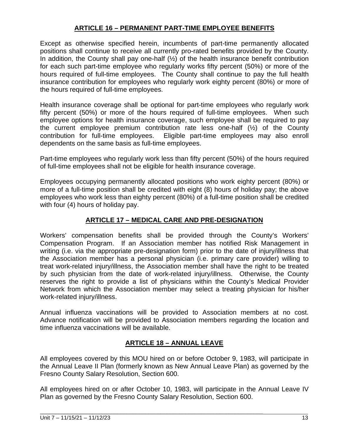#### **ARTICLE 16 – PERMANENT PART-TIME EMPLOYEE BENEFITS**

Except as otherwise specified herein, incumbents of part-time permanently allocated positions shall continue to receive all currently pro-rated benefits provided by the County. In addition, the County shall pay one-half  $(½)$  of the health insurance benefit contribution for each such part-time employee who regularly works fifty percent (50%) or more of the hours required of full-time employees. The County shall continue to pay the full health insurance contribution for employees who regularly work eighty percent (80%) or more of the hours required of full-time employees.

Health insurance coverage shall be optional for part-time employees who regularly work fifty percent (50%) or more of the hours required of full-time employees. When such employee options for health insurance coverage, such employee shall be required to pay the current employee premium contribution rate less one-half (½) of the County contribution for full-time employees. Eligible part-time employees may also enroll dependents on the same basis as full-time employees.

Part-time employees who regularly work less than fifty percent (50%) of the hours required of full-time employees shall not be eligible for health insurance coverage.

Employees occupying permanently allocated positions who work eighty percent (80%) or more of a full-time position shall be credited with eight (8) hours of holiday pay; the above employees who work less than eighty percent (80%) of a full-time position shall be credited with four (4) hours of holiday pay.

#### **ARTICLE 17 – MEDICAL CARE AND PRE-DESIGNATION**

Workers' compensation benefits shall be provided through the County's Workers' Compensation Program. If an Association member has notified Risk Management in writing (i.e. via the appropriate pre-designation form) prior to the date of injury/illness that the Association member has a personal physician (i.e. primary care provider) willing to treat work-related injury/illness, the Association member shall have the right to be treated by such physician from the date of work-related injury/illness. Otherwise, the County reserves the right to provide a list of physicians within the County's Medical Provider Network from which the Association member may select a treating physician for his/her work-related injury/illness.

Annual influenza vaccinations will be provided to Association members at no cost. Advance notification will be provided to Association members regarding the location and time influenza vaccinations will be available.

#### **ARTICLE 18 – ANNUAL LEAVE**

All employees covered by this MOU hired on or before October 9, 1983, will participate in the Annual Leave II Plan (formerly known as New Annual Leave Plan) as governed by the Fresno County Salary Resolution, Section 600.

All employees hired on or after October 10, 1983, will participate in the Annual Leave IV Plan as governed by the Fresno County Salary Resolution, Section 600.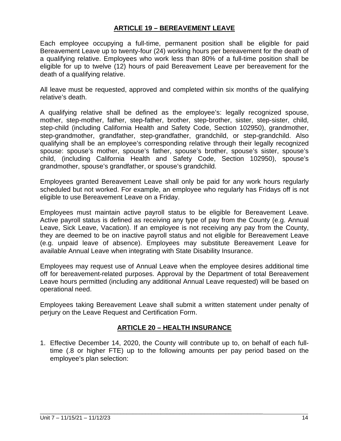#### **ARTICLE 19 – BEREAVEMENT LEAVE**

Each employee occupying a full-time, permanent position shall be eligible for paid Bereavement Leave up to twenty-four (24) working hours per bereavement for the death of a qualifying relative. Employees who work less than 80% of a full-time position shall be eligible for up to twelve (12) hours of paid Bereavement Leave per bereavement for the death of a qualifying relative.

All leave must be requested, approved and completed within six months of the qualifying relative's death.

A qualifying relative shall be defined as the employee's: legally recognized spouse, mother, step-mother, father, step-father, brother, step-brother, sister, step-sister, child, step-child (including California Health and Safety Code, Section 102950), grandmother, step-grandmother, grandfather, step-grandfather, grandchild, or step-grandchild. Also qualifying shall be an employee's corresponding relative through their legally recognized spouse: spouse's mother, spouse's father, spouse's brother, spouse's sister, spouse's child, (including California Health and Safety Code, Section 102950), spouse's grandmother, spouse's grandfather, or spouse's grandchild.

Employees granted Bereavement Leave shall only be paid for any work hours regularly scheduled but not worked. For example, an employee who regularly has Fridays off is not eligible to use Bereavement Leave on a Friday.

Employees must maintain active payroll status to be eligible for Bereavement Leave. Active payroll status is defined as receiving any type of pay from the County (e.g. Annual Leave, Sick Leave, Vacation). If an employee is not receiving any pay from the County, they are deemed to be on inactive payroll status and not eligible for Bereavement Leave (e.g. unpaid leave of absence). Employees may substitute Bereavement Leave for available Annual Leave when integrating with State Disability Insurance.

Employees may request use of Annual Leave when the employee desires additional time off for bereavement-related purposes. Approval by the Department of total Bereavement Leave hours permitted (including any additional Annual Leave requested) will be based on operational need.

Employees taking Bereavement Leave shall submit a written statement under penalty of perjury on the Leave Request and Certification Form.

#### **ARTICLE 20 – HEALTH INSURANCE**

1. Effective December 14, 2020, the County will contribute up to, on behalf of each fulltime (.8 or higher FTE) up to the following amounts per pay period based on the employee's plan selection: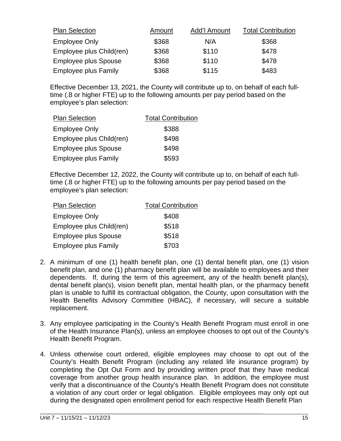| <b>Plan Selection</b>       | Amount | Add'l Amount | <b>Total Contribution</b> |
|-----------------------------|--------|--------------|---------------------------|
| <b>Employee Only</b>        | \$368  | N/A          | \$368                     |
| Employee plus Child(ren)    | \$368  | \$110        | \$478                     |
| <b>Employee plus Spouse</b> | \$368  | \$110        | \$478                     |
| <b>Employee plus Family</b> | \$368  | \$115        | \$483                     |

Effective December 13, 2021, the County will contribute up to, on behalf of each fulltime (.8 or higher FTE) up to the following amounts per pay period based on the employee's plan selection:

| <b>Plan Selection</b>       | <b>Total Contribution</b> |  |
|-----------------------------|---------------------------|--|
| <b>Employee Only</b>        | \$388                     |  |
| Employee plus Child(ren)    | \$498                     |  |
| <b>Employee plus Spouse</b> | \$498                     |  |
| <b>Employee plus Family</b> | \$593                     |  |

Effective December 12, 2022, the County will contribute up to, on behalf of each fulltime (.8 or higher FTE) up to the following amounts per pay period based on the employee's plan selection:

| <b>Plan Selection</b>       | <b>Total Contribution</b> |
|-----------------------------|---------------------------|
| <b>Employee Only</b>        | \$408                     |
| Employee plus Child(ren)    | \$518                     |
| <b>Employee plus Spouse</b> | \$518                     |
| <b>Employee plus Family</b> | \$703                     |

- 2. A minimum of one (1) health benefit plan, one (1) dental benefit plan, one (1) vision benefit plan, and one (1) pharmacy benefit plan will be available to employees and their dependents. If, during the term of this agreement, any of the health benefit plan(s), dental benefit plan(s), vision benefit plan, mental health plan, or the pharmacy benefit plan is unable to fulfill its contractual obligation, the County, upon consultation with the Health Benefits Advisory Committee (HBAC), if necessary, will secure a suitable replacement.
- 3. Any employee participating in the County's Health Benefit Program must enroll in one of the Health Insurance Plan(s), unless an employee chooses to opt out of the County's Health Benefit Program.
- 4. Unless otherwise court ordered, eligible employees may choose to opt out of the County's Health Benefit Program (including any related life insurance program) by completing the Opt Out Form and by providing written proof that they have medical coverage from another group health insurance plan. In addition, the employee must verify that a discontinuance of the County's Health Benefit Program does not constitute a violation of any court order or legal obligation. Eligible employees may only opt out during the designated open enrollment period for each respective Health Benefit Plan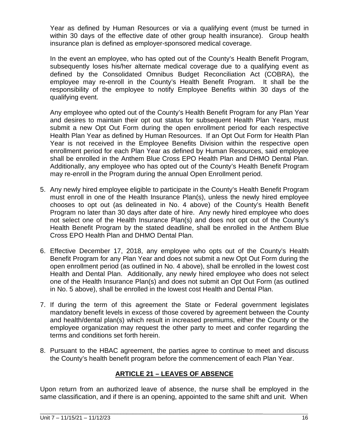Year as defined by Human Resources or via a qualifying event (must be turned in within 30 days of the effective date of other group health insurance). Group health insurance plan is defined as employer-sponsored medical coverage.

In the event an employee, who has opted out of the County's Health Benefit Program, subsequently loses his/her alternate medical coverage due to a qualifying event as defined by the Consolidated Omnibus Budget Reconciliation Act (COBRA), the employee may re-enroll in the County's Health Benefit Program. It shall be the responsibility of the employee to notify Employee Benefits within 30 days of the qualifying event.

Any employee who opted out of the County's Health Benefit Program for any Plan Year and desires to maintain their opt out status for subsequent Health Plan Years, must submit a new Opt Out Form during the open enrollment period for each respective Health Plan Year as defined by Human Resources. If an Opt Out Form for Health Plan Year is not received in the Employee Benefits Division within the respective open enrollment period for each Plan Year as defined by Human Resources, said employee shall be enrolled in the Anthem Blue Cross EPO Health Plan and DHMO Dental Plan. Additionally, any employee who has opted out of the County's Health Benefit Program may re-enroll in the Program during the annual Open Enrollment period.

- 5. Any newly hired employee eligible to participate in the County's Health Benefit Program must enroll in one of the Health Insurance Plan(s), unless the newly hired employee chooses to opt out (as delineated in No. 4 above) of the County's Health Benefit Program no later than 30 days after date of hire. Any newly hired employee who does not select one of the Health Insurance Plan(s) and does not opt out of the County's Health Benefit Program by the stated deadline, shall be enrolled in the Anthem Blue Cross EPO Health Plan and DHMO Dental Plan.
- 6. Effective December 17, 2018, any employee who opts out of the County's Health Benefit Program for any Plan Year and does not submit a new Opt Out Form during the open enrollment period (as outlined in No. 4 above), shall be enrolled in the lowest cost Health and Dental Plan. Additionally, any newly hired employee who does not select one of the Health Insurance Plan(s) and does not submit an Opt Out Form (as outlined in No. 5 above), shall be enrolled in the lowest cost Health and Dental Plan.
- 7. If during the term of this agreement the State or Federal government legislates mandatory benefit levels in excess of those covered by agreement between the County and health/dental plan(s) which result in increased premiums, either the County or the employee organization may request the other party to meet and confer regarding the terms and conditions set forth herein.
- 8. Pursuant to the HBAC agreement, the parties agree to continue to meet and discuss the County's health benefit program before the commencement of each Plan Year.

#### **ARTICLE 21 – LEAVES OF ABSENCE**

Upon return from an authorized leave of absence, the nurse shall be employed in the same classification, and if there is an opening, appointed to the same shift and unit. When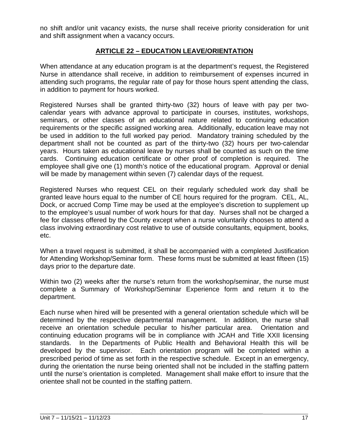no shift and/or unit vacancy exists, the nurse shall receive priority consideration for unit and shift assignment when a vacancy occurs.

#### **ARTICLE 22 – EDUCATION LEAVE/ORIENTATION**

When attendance at any education program is at the department's request, the Registered Nurse in attendance shall receive, in addition to reimbursement of expenses incurred in attending such programs, the regular rate of pay for those hours spent attending the class, in addition to payment for hours worked.

Registered Nurses shall be granted thirty-two (32) hours of leave with pay per twocalendar years with advance approval to participate in courses, institutes, workshops, seminars, or other classes of an educational nature related to continuing education requirements or the specific assigned working area. Additionally, education leave may not be used in addition to the full worked pay period. Mandatory training scheduled by the department shall not be counted as part of the thirty-two (32) hours per two-calendar years. Hours taken as educational leave by nurses shall be counted as such on the time cards. Continuing education certificate or other proof of completion is required. The employee shall give one (1) month's notice of the educational program. Approval or denial will be made by management within seven (7) calendar days of the request.

Registered Nurses who request CEL on their regularly scheduled work day shall be granted leave hours equal to the number of CE hours required for the program. CEL, AL, Dock, or accrued Comp Time may be used at the employee's discretion to supplement up to the employee's usual number of work hours for that day. Nurses shall not be charged a fee for classes offered by the County except when a nurse voluntarily chooses to attend a class involving extraordinary cost relative to use of outside consultants, equipment, books, etc.

When a travel request is submitted, it shall be accompanied with a completed Justification for Attending Workshop/Seminar form. These forms must be submitted at least fifteen (15) days prior to the departure date.

Within two (2) weeks after the nurse's return from the workshop/seminar, the nurse must complete a Summary of Workshop/Seminar Experience form and return it to the department.

Each nurse when hired will be presented with a general orientation schedule which will be determined by the respective departmental management. In addition, the nurse shall receive an orientation schedule peculiar to his/her particular area. Orientation and continuing education programs will be in compliance with JCAH and Title XXII licensing standards. In the Departments of Public Health and Behavioral Health this will be developed by the supervisor. Each orientation program will be completed within a prescribed period of time as set forth in the respective schedule. Except in an emergency, during the orientation the nurse being oriented shall not be included in the staffing pattern until the nurse's orientation is completed. Management shall make effort to insure that the orientee shall not be counted in the staffing pattern.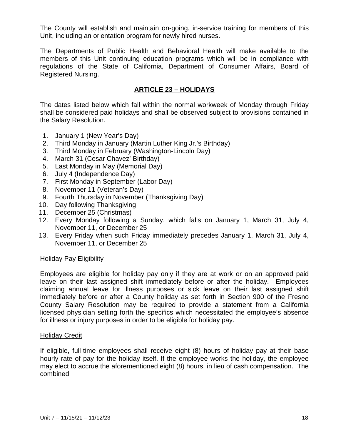The County will establish and maintain on-going, in-service training for members of this Unit, including an orientation program for newly hired nurses.

The Departments of Public Health and Behavioral Health will make available to the members of this Unit continuing education programs which will be in compliance with regulations of the State of California, Department of Consumer Affairs, Board of Registered Nursing.

#### **ARTICLE 23 – HOLIDAYS**

The dates listed below which fall within the normal workweek of Monday through Friday shall be considered paid holidays and shall be observed subject to provisions contained in the Salary Resolution.

- 1. January 1 (New Year's Day)
- 2. Third Monday in January (Martin Luther King Jr.'s Birthday)
- 3. Third Monday in February (Washington-Lincoln Day)
- 4. March 31 (Cesar Chavez' Birthday)
- 5. Last Monday in May (Memorial Day)
- 6. July 4 (Independence Day)
- 7. First Monday in September (Labor Day)
- 8. November 11 (Veteran's Day)
- 9. Fourth Thursday in November (Thanksgiving Day)
- 10. Day following Thanksgiving
- 11. December 25 (Christmas)
- 12. Every Monday following a Sunday, which falls on January 1, March 31, July 4, November 11, or December 25
- 13. Every Friday when such Friday immediately precedes January 1, March 31, July 4, November 11, or December 25

#### Holiday Pay Eligibility

Employees are eligible for holiday pay only if they are at work or on an approved paid leave on their last assigned shift immediately before or after the holiday. Employees claiming annual leave for illness purposes or sick leave on their last assigned shift immediately before or after a County holiday as set forth in Section 900 of the Fresno County Salary Resolution may be required to provide a statement from a California licensed physician setting forth the specifics which necessitated the employee's absence for illness or injury purposes in order to be eligible for holiday pay.

#### Holiday Credit

If eligible, full-time employees shall receive eight (8) hours of holiday pay at their base hourly rate of pay for the holiday itself. If the employee works the holiday, the employee may elect to accrue the aforementioned eight (8) hours, in lieu of cash compensation. The combined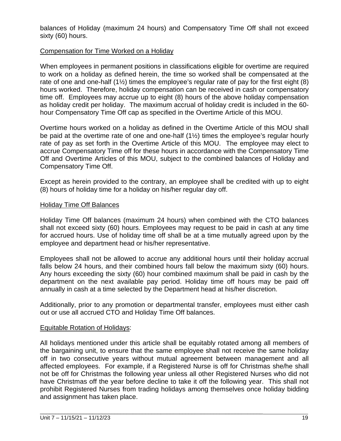balances of Holiday (maximum 24 hours) and Compensatory Time Off shall not exceed sixty (60) hours.

#### Compensation for Time Worked on a Holiday

When employees in permanent positions in classifications eligible for overtime are required to work on a holiday as defined herein, the time so worked shall be compensated at the rate of one and one-half  $(1\frac{1}{2})$  times the employee's regular rate of pay for the first eight (8) hours worked. Therefore, holiday compensation can be received in cash or compensatory time off. Employees may accrue up to eight (8) hours of the above holiday compensation as holiday credit per holiday. The maximum accrual of holiday credit is included in the 60 hour Compensatory Time Off cap as specified in the Overtime Article of this MOU.

Overtime hours worked on a holiday as defined in the Overtime Article of this MOU shall be paid at the overtime rate of one and one-half (1½) times the employee's regular hourly rate of pay as set forth in the Overtime Article of this MOU. The employee may elect to accrue Compensatory Time off for these hours in accordance with the Compensatory Time Off and Overtime Articles of this MOU, subject to the combined balances of Holiday and Compensatory Time Off.

Except as herein provided to the contrary, an employee shall be credited with up to eight (8) hours of holiday time for a holiday on his/her regular day off.

#### Holiday Time Off Balances

Holiday Time Off balances (maximum 24 hours) when combined with the CTO balances shall not exceed sixty (60) hours. Employees may request to be paid in cash at any time for accrued hours. Use of holiday time off shall be at a time mutually agreed upon by the employee and department head or his/her representative.

Employees shall not be allowed to accrue any additional hours until their holiday accrual falls below 24 hours, and their combined hours fall below the maximum sixty (60) hours. Any hours exceeding the sixty (60) hour combined maximum shall be paid in cash by the department on the next available pay period. Holiday time off hours may be paid off annually in cash at a time selected by the Department head at his/her discretion.

Additionally, prior to any promotion or departmental transfer, employees must either cash out or use all accrued CTO and Holiday Time Off balances.

#### Equitable Rotation of Holidays:

All holidays mentioned under this article shall be equitably rotated among all members of the bargaining unit, to ensure that the same employee shall not receive the same holiday off in two consecutive years without mutual agreement between management and all affected employees. For example, if a Registered Nurse is off for Christmas she/he shall not be off for Christmas the following year unless all other Registered Nurses who did not have Christmas off the year before decline to take it off the following year. This shall not prohibit Registered Nurses from trading holidays among themselves once holiday bidding and assignment has taken place.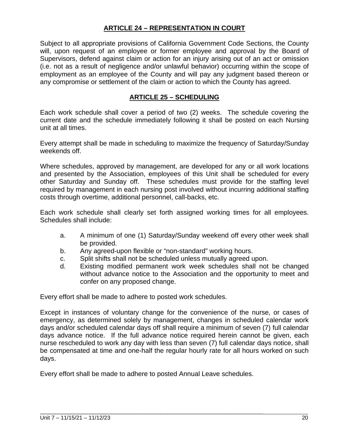#### **ARTICLE 24 – REPRESENTATION IN COURT**

Subject to all appropriate provisions of California Government Code Sections, the County will, upon request of an employee or former employee and approval by the Board of Supervisors, defend against claim or action for an injury arising out of an act or omission (i.e. not as a result of negligence and/or unlawful behavior) occurring within the scope of employment as an employee of the County and will pay any judgment based thereon or any compromise or settlement of the claim or action to which the County has agreed.

#### **ARTICLE 25 – SCHEDULING**

Each work schedule shall cover a period of two (2) weeks. The schedule covering the current date and the schedule immediately following it shall be posted on each Nursing unit at all times.

Every attempt shall be made in scheduling to maximize the frequency of Saturday/Sunday weekends off.

Where schedules, approved by management, are developed for any or all work locations and presented by the Association, employees of this Unit shall be scheduled for every other Saturday and Sunday off. These schedules must provide for the staffing level required by management in each nursing post involved without incurring additional staffing costs through overtime, additional personnel, call-backs, etc.

Each work schedule shall clearly set forth assigned working times for all employees. Schedules shall include:

- a. A minimum of one (1) Saturday/Sunday weekend off every other week shall be provided.
- b. Any agreed-upon flexible or "non-standard" working hours.
- c. Split shifts shall not be scheduled unless mutually agreed upon.
- d. Existing modified permanent work week schedules shall not be changed without advance notice to the Association and the opportunity to meet and confer on any proposed change.

Every effort shall be made to adhere to posted work schedules.

Except in instances of voluntary change for the convenience of the nurse, or cases of emergency, as determined solely by management, changes in scheduled calendar work days and/or scheduled calendar days off shall require a minimum of seven (7) full calendar days advance notice. If the full advance notice required herein cannot be given, each nurse rescheduled to work any day with less than seven (7) full calendar days notice, shall be compensated at time and one-half the regular hourly rate for all hours worked on such days.

Every effort shall be made to adhere to posted Annual Leave schedules.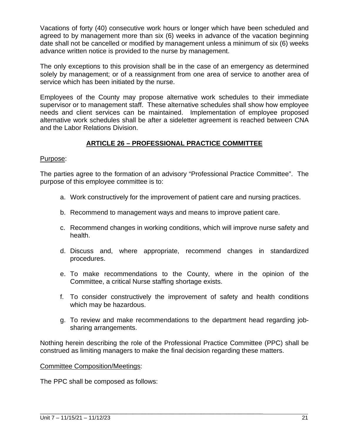Vacations of forty (40) consecutive work hours or longer which have been scheduled and agreed to by management more than six (6) weeks in advance of the vacation beginning date shall not be cancelled or modified by management unless a minimum of six (6) weeks advance written notice is provided to the nurse by management.

The only exceptions to this provision shall be in the case of an emergency as determined solely by management; or of a reassignment from one area of service to another area of service which has been initiated by the nurse.

Employees of the County may propose alternative work schedules to their immediate supervisor or to management staff. These alternative schedules shall show how employee needs and client services can be maintained. Implementation of employee proposed alternative work schedules shall be after a sideletter agreement is reached between CNA and the Labor Relations Division.

#### **ARTICLE 26 – PROFESSIONAL PRACTICE COMMITTEE**

#### Purpose:

The parties agree to the formation of an advisory "Professional Practice Committee". The purpose of this employee committee is to:

- a. Work constructively for the improvement of patient care and nursing practices.
- b. Recommend to management ways and means to improve patient care.
- c. Recommend changes in working conditions, which will improve nurse safety and health.
- d. Discuss and, where appropriate, recommend changes in standardized procedures.
- e. To make recommendations to the County, where in the opinion of the Committee, a critical Nurse staffing shortage exists.
- f. To consider constructively the improvement of safety and health conditions which may be hazardous.
- g. To review and make recommendations to the department head regarding jobsharing arrangements.

Nothing herein describing the role of the Professional Practice Committee (PPC) shall be construed as limiting managers to make the final decision regarding these matters.

Committee Composition/Meetings:

The PPC shall be composed as follows: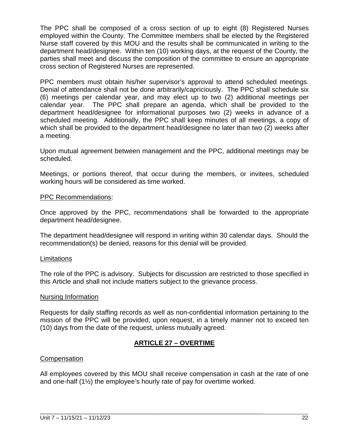The PPC shall be composed of a cross section of up to eight (8) Registered Nurses employed within the County. The Committee members shall be elected by the Registered Nurse staff covered by this MOU and the results shall be communicated in writing to the department head/designee. Within ten (10) working days, at the request of the County, the parties shall meet and discuss the composition of the committee to ensure an appropriate cross section of Registered Nurses are represented.

PPC members must obtain his/her supervisor's approval to attend scheduled meetings. Denial of attendance shall not be done arbitrarily/capriciously. The PPC shall schedule six (6) meetings per calendar year, and may elect up to two (2) additional meetings per calendar year. The PPC shall prepare an agenda, which shall be provided to the department head/designee for informational purposes two (2) weeks in advance of a scheduled meeting. Additionally, the PPC shall keep minutes of all meetings, a copy of which shall be provided to the department head/designee no later than two (2) weeks after a meeting.

Upon mutual agreement between management and the PPC, additional meetings may be scheduled.

Meetings, or portions thereof, that occur during the members, or invitees, scheduled working hours will be considered as time worked.

#### PPC Recommendations:

Once approved by the PPC, recommendations shall be forwarded to the appropriate department head/designee.

The department head/designee will respond in writing within 30 calendar days. Should the recommendation(s) be denied, reasons for this denial will be provided.

#### Limitations

The role of the PPC is advisory. Subjects for discussion are restricted to those specified in this Article and shall not include matters subject to the grievance process.

#### Nursing Information

Requests for daily staffing records as well as non-confidential information pertaining to the mission of the PPC will be provided, upon request, in a timely manner not to exceed ten (10) days from the date of the request, unless mutually agreed.

#### **ARTICLE 27 – OVERTIME**

#### **Compensation**

All employees covered by this MOU shall receive compensation in cash at the rate of one and one-half  $(1\frac{1}{2})$  the employee's hourly rate of pay for overtime worked.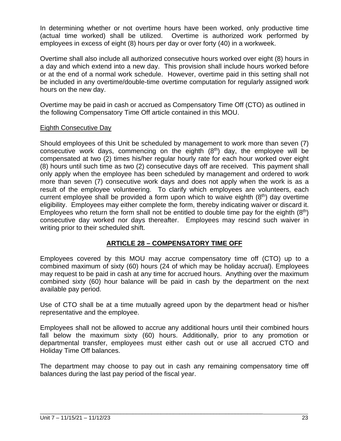In determining whether or not overtime hours have been worked, only productive time (actual time worked) shall be utilized. Overtime is authorized work performed by employees in excess of eight (8) hours per day or over forty (40) in a workweek.

Overtime shall also include all authorized consecutive hours worked over eight (8) hours in a day and which extend into a new day. This provision shall include hours worked before or at the end of a normal work schedule. However, overtime paid in this setting shall not be included in any overtime/double-time overtime computation for regularly assigned work hours on the new day.

Overtime may be paid in cash or accrued as Compensatory Time Off (CTO) as outlined in the following Compensatory Time Off article contained in this MOU.

#### Eighth Consecutive Day

Should employees of this Unit be scheduled by management to work more than seven (7) consecutive work days, commencing on the eighth  $(8<sup>th</sup>)$  day, the employee will be compensated at two (2) times his/her regular hourly rate for each hour worked over eight (8) hours until such time as two (2) consecutive days off are received. This payment shall only apply when the employee has been scheduled by management and ordered to work more than seven (7) consecutive work days and does not apply when the work is as a result of the employee volunteering. To clarify which employees are volunteers, each current employee shall be provided a form upon which to waive eighth  $(8<sup>th</sup>)$  day overtime eligibility. Employees may either complete the form, thereby indicating waiver or discard it. Employees who return the form shall not be entitled to double time pay for the eighth  $(8<sup>th</sup>)$ consecutive day worked nor days thereafter. Employees may rescind such waiver in writing prior to their scheduled shift.

#### **ARTICLE 28 – COMPENSATORY TIME OFF**

Employees covered by this MOU may accrue compensatory time off (CTO) up to a combined maximum of sixty (60) hours (24 of which may be holiday accrual). Employees may request to be paid in cash at any time for accrued hours. Anything over the maximum combined sixty (60) hour balance will be paid in cash by the department on the next available pay period.

Use of CTO shall be at a time mutually agreed upon by the department head or his/her representative and the employee.

Employees shall not be allowed to accrue any additional hours until their combined hours fall below the maximum sixty (60) hours. Additionally, prior to any promotion or departmental transfer, employees must either cash out or use all accrued CTO and Holiday Time Off balances.

The department may choose to pay out in cash any remaining compensatory time off balances during the last pay period of the fiscal year.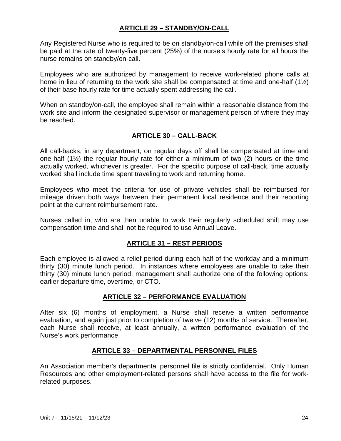#### **ARTICLE 29 – STANDBY/ON-CALL**

Any Registered Nurse who is required to be on standby/on-call while off the premises shall be paid at the rate of twenty-five percent (25%) of the nurse's hourly rate for all hours the nurse remains on standby/on-call.

Employees who are authorized by management to receive work-related phone calls at home in lieu of returning to the work site shall be compensated at time and one-half (1½) of their base hourly rate for time actually spent addressing the call.

When on standby/on-call, the employee shall remain within a reasonable distance from the work site and inform the designated supervisor or management person of where they may be reached.

#### **ARTICLE 30 – CALL-BACK**

All call-backs, in any department, on regular days off shall be compensated at time and one-half (1½) the regular hourly rate for either a minimum of two (2) hours or the time actually worked, whichever is greater. For the specific purpose of call-back, time actually worked shall include time spent traveling to work and returning home.

Employees who meet the criteria for use of private vehicles shall be reimbursed for mileage driven both ways between their permanent local residence and their reporting point at the current reimbursement rate.

Nurses called in, who are then unable to work their regularly scheduled shift may use compensation time and shall not be required to use Annual Leave.

#### **ARTICLE 31 – REST PERIODS**

Each employee is allowed a relief period during each half of the workday and a minimum thirty (30) minute lunch period. In instances where employees are unable to take their thirty (30) minute lunch period, management shall authorize one of the following options: earlier departure time, overtime, or CTO.

#### **ARTICLE 32 – PERFORMANCE EVALUATION**

After six (6) months of employment, a Nurse shall receive a written performance evaluation, and again just prior to completion of twelve (12) months of service. Thereafter, each Nurse shall receive, at least annually, a written performance evaluation of the Nurse's work performance.

#### **ARTICLE 33 – DEPARTMENTAL PERSONNEL FILES**

An Association member's departmental personnel file is strictly confidential. Only Human Resources and other employment-related persons shall have access to the file for workrelated purposes.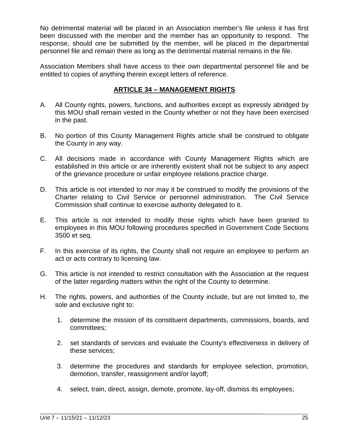No detrimental material will be placed in an Association member's file unless it has first been discussed with the member and the member has an opportunity to respond. The response, should one be submitted by the member, will be placed in the departmental personnel file and remain there as long as the detrimental material remains in the file.

Association Members shall have access to their own departmental personnel file and be entitled to copies of anything therein except letters of reference.

#### **ARTICLE 34 – MANAGEMENT RIGHTS**

- A. All County rights, powers, functions, and authorities except as expressly abridged by this MOU shall remain vested in the County whether or not they have been exercised in the past.
- B. No portion of this County Management Rights article shall be construed to obligate the County in any way.
- C. All decisions made in accordance with County Management Rights which are established in this article or are inherently existent shall not be subject to any aspect of the grievance procedure or unfair employee relations practice charge.
- D. This article is not intended to nor may it be construed to modify the provisions of the Charter relating to Civil Service or personnel administration. The Civil Service Commission shall continue to exercise authority delegated to it.
- E. This article is not intended to modify those rights which have been granted to employees in this MOU following procedures specified in Government Code Sections 3500 et seq.
- F. In this exercise of its rights, the County shall not require an employee to perform an act or acts contrary to licensing law.
- G. This article is not intended to restrict consultation with the Association at the request of the latter regarding matters within the right of the County to determine.
- H. The rights, powers, and authorities of the County include, but are not limited to, the sole and exclusive right to:
	- 1. determine the mission of its constituent departments, commissions, boards, and committees;
	- 2. set standards of services and evaluate the County's effectiveness in delivery of these services;
	- 3. determine the procedures and standards for employee selection, promotion, demotion, transfer, reassignment and/or layoff;
	- 4. select, train, direct, assign, demote, promote, lay-off, dismiss its employees;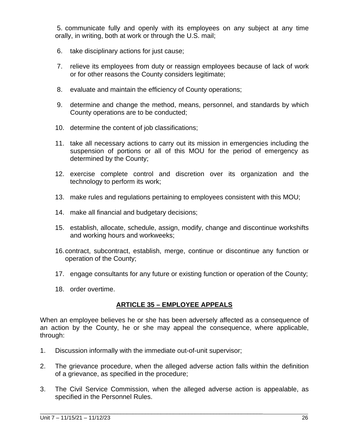5. communicate fully and openly with its employees on any subject at any time orally, in writing, both at work or through the U.S. mail;

- 6. take disciplinary actions for just cause;
- 7. relieve its employees from duty or reassign employees because of lack of work or for other reasons the County considers legitimate;
- 8. evaluate and maintain the efficiency of County operations;
- 9. determine and change the method, means, personnel, and standards by which County operations are to be conducted;
- 10. determine the content of job classifications;
- 11. take all necessary actions to carry out its mission in emergencies including the suspension of portions or all of this MOU for the period of emergency as determined by the County;
- 12. exercise complete control and discretion over its organization and the technology to perform its work;
- 13. make rules and regulations pertaining to employees consistent with this MOU;
- 14. make all financial and budgetary decisions;
- 15. establish, allocate, schedule, assign, modify, change and discontinue workshifts and working hours and workweeks;
- 16.contract, subcontract, establish, merge, continue or discontinue any function or operation of the County;
- 17. engage consultants for any future or existing function or operation of the County;
- 18. order overtime.

#### **ARTICLE 35 – EMPLOYEE APPEALS**

When an employee believes he or she has been adversely affected as a consequence of an action by the County, he or she may appeal the consequence, where applicable, through:

- 1. Discussion informally with the immediate out-of-unit supervisor;
- 2. The grievance procedure, when the alleged adverse action falls within the definition of a grievance, as specified in the procedure;
- 3. The Civil Service Commission, when the alleged adverse action is appealable, as specified in the Personnel Rules.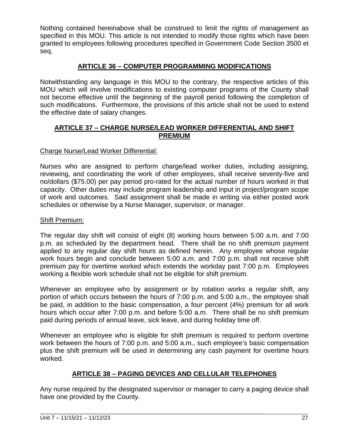Nothing contained hereinabove shall be construed to limit the rights of management as specified in this MOU. This article is not intended to modify those rights which have been granted to employees following procedures specified in Government Code Section 3500 et seq.

#### **ARTICLE 36 – COMPUTER PROGRAMMING MODIFICATIONS**

Notwithstanding any language in this MOU to the contrary, the respective articles of this MOU which will involve modifications to existing computer programs of the County shall not become effective until the beginning of the payroll period following the completion of such modifications. Furthermore, the provisions of this article shall not be used to extend the effective date of salary changes.

#### **ARTICLE 37 – CHARGE NURSE/LEAD WORKER DIFFERENTIAL AND SHIFT PREMIUM**

#### Charge Nurse/Lead Worker Differential:

Nurses who are assigned to perform charge/lead worker duties, including assigning, reviewing, and coordinating the work of other employees, shall receive seventy-five and no/dollars (\$75.00) per pay period pro-rated for the actual number of hours worked in that capacity. Other duties may include program leadership and input in project/program scope of work and outcomes. Said assignment shall be made in writing via either posted work schedules or otherwise by a Nurse Manager, supervisor, or manager.

#### Shift Premium:

The regular day shift will consist of eight (8) working hours between 5:00 a.m. and 7:00 p.m. as scheduled by the department head. There shall be no shift premium payment applied to any regular day shift hours as defined herein. Any employee whose regular work hours begin and conclude between 5:00 a.m. and 7:00 p.m. shall not receive shift premium pay for overtime worked which extends the workday past 7:00 p.m. Employees working a flexible work schedule shall not be eligible for shift premium.

Whenever an employee who by assignment or by rotation works a regular shift, any portion of which occurs between the hours of 7:00 p.m. and 5:00 a.m., the employee shall be paid, in addition to the basic compensation, a four percent (4%) premium for all work hours which occur after 7:00 p.m. and before 5:00 a.m. There shall be no shift premium paid during periods of annual leave, sick leave, and during holiday time off.

Whenever an employee who is eligible for shift premium is required to perform overtime work between the hours of 7:00 p.m. and 5:00 a.m., such employee's basic compensation plus the shift premium will be used in determining any cash payment for overtime hours worked.

#### **ARTICLE 38 – PAGING DEVICES AND CELLULAR TELEPHONES**

Any nurse required by the designated supervisor or manager to carry a paging device shall have one provided by the County.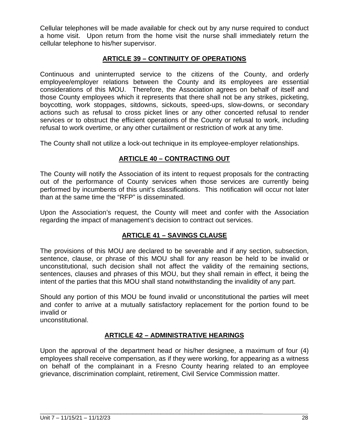Cellular telephones will be made available for check out by any nurse required to conduct a home visit. Upon return from the home visit the nurse shall immediately return the cellular telephone to his/her supervisor.

#### **ARTICLE 39 – CONTINUITY OF OPERATIONS**

Continuous and uninterrupted service to the citizens of the County, and orderly employee/employer relations between the County and its employees are essential considerations of this MOU. Therefore, the Association agrees on behalf of itself and those County employees which it represents that there shall not be any strikes, picketing, boycotting, work stoppages, sitdowns, sickouts, speed-ups, slow-downs, or secondary actions such as refusal to cross picket lines or any other concerted refusal to render services or to obstruct the efficient operations of the County or refusal to work, including refusal to work overtime, or any other curtailment or restriction of work at any time.

The County shall not utilize a lock-out technique in its employee-employer relationships.

#### **ARTICLE 40 – CONTRACTING OUT**

The County will notify the Association of its intent to request proposals for the contracting out of the performance of County services when those services are currently being performed by incumbents of this unit's classifications. This notification will occur not later than at the same time the "RFP" is disseminated.

Upon the Association's request, the County will meet and confer with the Association regarding the impact of management's decision to contract out services.

#### **ARTICLE 41 – SAVINGS CLAUSE**

The provisions of this MOU are declared to be severable and if any section, subsection, sentence, clause, or phrase of this MOU shall for any reason be held to be invalid or unconstitutional, such decision shall not affect the validity of the remaining sections, sentences, clauses and phrases of this MOU, but they shall remain in effect, it being the intent of the parties that this MOU shall stand notwithstanding the invalidity of any part.

Should any portion of this MOU be found invalid or unconstitutional the parties will meet and confer to arrive at a mutually satisfactory replacement for the portion found to be invalid or

unconstitutional.

#### **ARTICLE 42 – ADMINISTRATIVE HEARINGS**

Upon the approval of the department head or his/her designee, a maximum of four (4) employees shall receive compensation, as if they were working, for appearing as a witness on behalf of the complainant in a Fresno County hearing related to an employee grievance, discrimination complaint, retirement, Civil Service Commission matter.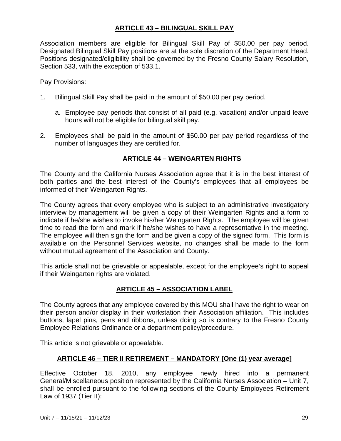#### **ARTICLE 43 – BILINGUAL SKILL PAY**

Association members are eligible for Bilingual Skill Pay of \$50.00 per pay period. Designated Bilingual Skill Pay positions are at the sole discretion of the Department Head. Positions designated/eligibility shall be governed by the Fresno County Salary Resolution, Section 533, with the exception of 533.1.

Pay Provisions:

- 1. Bilingual Skill Pay shall be paid in the amount of \$50.00 per pay period.
	- a. Employee pay periods that consist of all paid (e.g. vacation) and/or unpaid leave hours will not be eligible for bilingual skill pay.
- 2. Employees shall be paid in the amount of \$50.00 per pay period regardless of the number of languages they are certified for.

#### **ARTICLE 44 – WEINGARTEN RIGHTS**

The County and the California Nurses Association agree that it is in the best interest of both parties and the best interest of the County's employees that all employees be informed of their Weingarten Rights.

The County agrees that every employee who is subject to an administrative investigatory interview by management will be given a copy of their Weingarten Rights and a form to indicate if he/she wishes to invoke his/her Weingarten Rights. The employee will be given time to read the form and mark if he/she wishes to have a representative in the meeting. The employee will then sign the form and be given a copy of the signed form. This form is available on the Personnel Services website, no changes shall be made to the form without mutual agreement of the Association and County.

This article shall not be grievable or appealable, except for the employee's right to appeal if their Weingarten rights are violated.

#### **ARTICLE 45 – ASSOCIATION LABEL**

The County agrees that any employee covered by this MOU shall have the right to wear on their person and/or display in their workstation their Association affiliation. This includes buttons, lapel pins, pens and ribbons, unless doing so is contrary to the Fresno County Employee Relations Ordinance or a department policy/procedure.

This article is not grievable or appealable.

#### **ARTICLE 46 – TIER II RETIREMENT – MANDATORY [One (1) year average]**

Effective October 18, 2010, any employee newly hired into a permanent General/Miscellaneous position represented by the California Nurses Association – Unit 7, shall be enrolled pursuant to the following sections of the County Employees Retirement Law of 1937 (Tier II):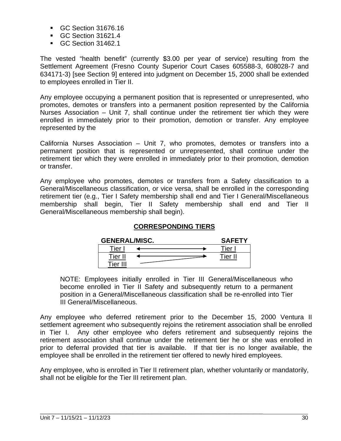- GC Section 31676.16
- GC Section 31621.4
- GC Section 31462.1

The vested "health benefit" (currently \$3.00 per year of service) resulting from the Settlement Agreement (Fresno County Superior Court Cases 605588-3, 608028-7 and 634171-3) [see Section 9] entered into judgment on December 15, 2000 shall be extended to employees enrolled in Tier II.

Any employee occupying a permanent position that is represented or unrepresented, who promotes, demotes or transfers into a permanent position represented by the California Nurses Association – Unit 7, shall continue under the retirement tier which they were enrolled in immediately prior to their promotion, demotion or transfer. Any employee represented by the

California Nurses Association – Unit 7, who promotes, demotes or transfers into a permanent position that is represented or unrepresented, shall continue under the retirement tier which they were enrolled in immediately prior to their promotion, demotion or transfer.

Any employee who promotes, demotes or transfers from a Safety classification to a General/Miscellaneous classification, or vice versa, shall be enrolled in the corresponding retirement tier (e.g., Tier I Safety membership shall end and Tier I General/Miscellaneous membership shall begin, Tier II Safety membership shall end and Tier II General/Miscellaneous membership shall begin).

#### **CORRESPONDING TIERS**

| <b>GENERAL/MISC.</b> | <b>SAFETY</b> |          |
|----------------------|---------------|----------|
| Tier                 |               | $r$ ier. |
| Tier                 |               | Ti≙r II  |
| Tier III             |               |          |

NOTE: Employees initially enrolled in Tier III General/Miscellaneous who become enrolled in Tier II Safety and subsequently return to a permanent position in a General/Miscellaneous classification shall be re-enrolled into Tier III General/Miscellaneous.

Any employee who deferred retirement prior to the December 15, 2000 Ventura II settlement agreement who subsequently rejoins the retirement association shall be enrolled in Tier I. Any other employee who defers retirement and subsequently rejoins the retirement association shall continue under the retirement tier he or she was enrolled in prior to deferral provided that tier is available. If that tier is no longer available, the employee shall be enrolled in the retirement tier offered to newly hired employees.

Any employee, who is enrolled in Tier II retirement plan, whether voluntarily or mandatorily, shall not be eligible for the Tier III retirement plan.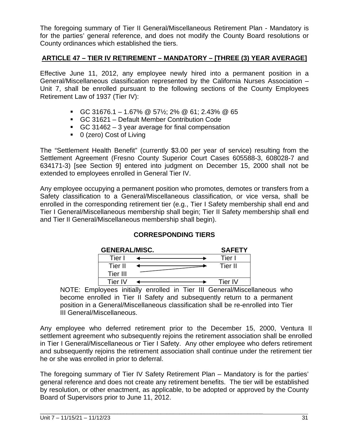The foregoing summary of Tier II General/Miscellaneous Retirement Plan - Mandatory is for the parties' general reference, and does not modify the County Board resolutions or County ordinances which established the tiers.

#### **ARTICLE 47 – TIER IV RETIREMENT – MANDATORY – [THREE (3) YEAR AVERAGE]**

Effective June 11, 2012, any employee newly hired into a permanent position in a General/Miscellaneous classification represented by the California Nurses Association – Unit 7, shall be enrolled pursuant to the following sections of the County Employees Retirement Law of 1937 (Tier IV):

- GC 31676.1 1.67% @ 57½; 2% @ 61; 2.43% @ 65
- GC 31621 Default Member Contribution Code
- GC 31462 3 year average for final compensation
- 0 (zero) Cost of Living

The "Settlement Health Benefit" (currently \$3.00 per year of service) resulting from the Settlement Agreement (Fresno County Superior Court Cases 605588-3, 608028-7 and 634171-3) [see Section 9] entered into judgment on December 15, 2000 shall not be extended to employees enrolled in General Tier IV.

Any employee occupying a permanent position who promotes, demotes or transfers from a Safety classification to a General/Miscellaneous classification, or vice versa, shall be enrolled in the corresponding retirement tier (e.g., Tier I Safety membership shall end and Tier I General/Miscellaneous membership shall begin; Tier II Safety membership shall end and Tier II General/Miscellaneous membership shall begin).

#### **CORRESPONDING TIERS**

| <b>GENERAL/MISC.</b> | <b>SAFETY</b> |         |
|----------------------|---------------|---------|
| Tier                 |               | Tier I  |
| Tier II              |               | Tier II |
| Tier III             |               |         |
| Tier IV              |               | Tier IV |

NOTE: Employees initially enrolled in Tier III General/Miscellaneous who become enrolled in Tier II Safety and subsequently return to a permanent position in a General/Miscellaneous classification shall be re-enrolled into Tier III General/Miscellaneous.

Any employee who deferred retirement prior to the December 15, 2000, Ventura II settlement agreement who subsequently rejoins the retirement association shall be enrolled in Tier I General/Miscellaneous or Tier I Safety. Any other employee who defers retirement and subsequently rejoins the retirement association shall continue under the retirement tier he or she was enrolled in prior to deferral.

The foregoing summary of Tier IV Safety Retirement Plan – Mandatory is for the parties' general reference and does not create any retirement benefits. The tier will be established by resolution, or other enactment, as applicable, to be adopted or approved by the County Board of Supervisors prior to June 11, 2012.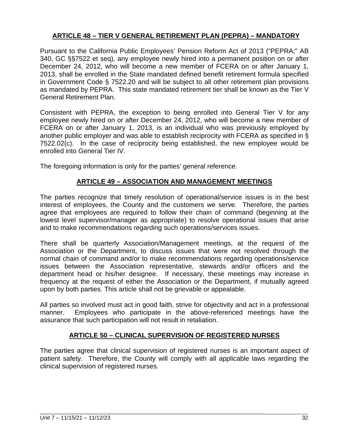#### **ARTICLE 48 – TIER V GENERAL RETIREMENT PLAN (PEPRA) – MANDATORY**

Pursuant to the California Public Employees' Pension Reform Act of 2013 ("PEPRA;" AB 340, GC §§7522 et seq), any employee newly hired into a permanent position on or after December 24, 2012, who will become a new member of FCERA on or after January 1, 2013, shall be enrolled in the State mandated defined benefit retirement formula specified in Government Code § 7522.20 and will be subject to all other retirement plan provisions as mandated by PEPRA. This state mandated retirement tier shall be known as the Tier V General Retirement Plan.

Consistent with PEPRA, the exception to being enrolled into General Tier V for any employee newly hired on or after December 24, 2012, who will become a new member of FCERA on or after January 1, 2013, is an individual who was previously employed by another public employer and was able to establish reciprocity with FCERA as specified in § 7522.02(c). In the case of reciprocity being established, the new employee would be enrolled into General Tier IV.

The foregoing information is only for the parties' general reference.

#### **ARTICLE 49 – ASSOCIATION AND MANAGEMENT MEETINGS**

The parties recognize that timely resolution of operational/service issues is in the best interest of employees, the County and the customers we serve. Therefore, the parties agree that employees are required to follow their chain of command (beginning at the lowest level supervisor/manager as appropriate) to resolve operational issues that arise and to make recommendations regarding such operations/services issues.

There shall be quarterly Association/Management meetings, at the request of the Association or the Department, to discuss issues that were not resolved through the normal chain of command and/or to make recommendations regarding operations/service issues between the Association representative, stewards and/or officers and the department head or his/her designee. If necessary, these meetings may increase in frequency at the request of either the Association or the Department, if mutually agreed upon by both parties. This article shall not be grievable or appealable.

All parties so involved must act in good faith, strive for objectivity and act in a professional manner. Employees who participate in the above-referenced meetings have the assurance that such participation will not result in retaliation.

#### **ARTICLE 50 – CLINICAL SUPERVISION OF REGISTERED NURSES**

The parties agree that clinical supervision of registered nurses is an important aspect of patient safety. Therefore, the County will comply with all applicable laws regarding the clinical supervision of registered nurses.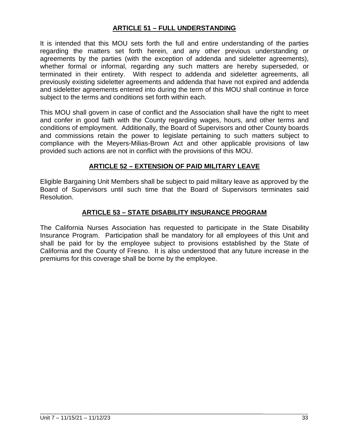#### **ARTICLE 51 – FULL UNDERSTANDING**

It is intended that this MOU sets forth the full and entire understanding of the parties regarding the matters set forth herein, and any other previous understanding or agreements by the parties (with the exception of addenda and sideletter agreements), whether formal or informal, regarding any such matters are hereby superseded, or terminated in their entirety. With respect to addenda and sideletter agreements, all previously existing sideletter agreements and addenda that have not expired and addenda and sideletter agreements entered into during the term of this MOU shall continue in force subject to the terms and conditions set forth within each.

This MOU shall govern in case of conflict and the Association shall have the right to meet and confer in good faith with the County regarding wages, hours, and other terms and conditions of employment. Additionally, the Board of Supervisors and other County boards and commissions retain the power to legislate pertaining to such matters subject to compliance with the Meyers-Milias-Brown Act and other applicable provisions of law provided such actions are not in conflict with the provisions of this MOU.

#### **ARTICLE 52 – EXTENSION OF PAID MILITARY LEAVE**

Eligible Bargaining Unit Members shall be subject to paid military leave as approved by the Board of Supervisors until such time that the Board of Supervisors terminates said Resolution.

#### **ARTICLE 53 – STATE DISABILITY INSURANCE PROGRAM**

The California Nurses Association has requested to participate in the State Disability Insurance Program. Participation shall be mandatory for all employees of this Unit and shall be paid for by the employee subject to provisions established by the State of California and the County of Fresno. It is also understood that any future increase in the premiums for this coverage shall be borne by the employee.